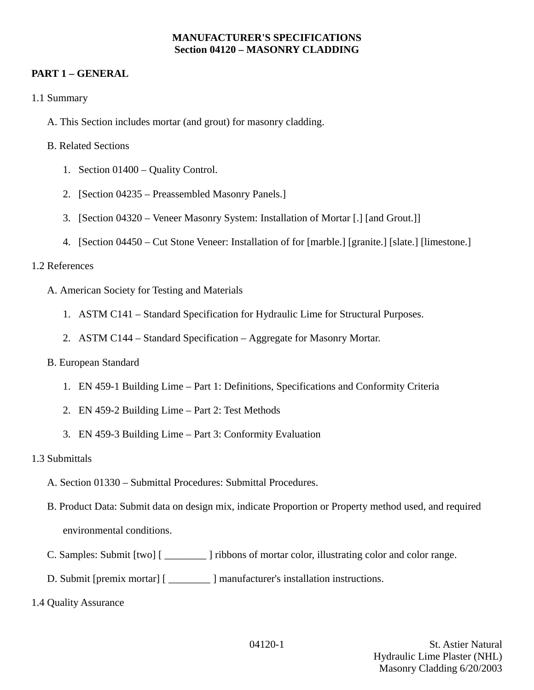#### **MANUFACTURER'S SPECIFICATIONS Section 04120 – MASONRY CLADDING**

# **PART 1 – GENERAL**

- 1.1 Summary
	- A. This Section includes mortar (and grout) for masonry cladding.

### B. Related Sections

- 1. Section 01400 Quality Control.
- 2. [Section 04235 Preassembled Masonry Panels.]
- 3. [Section 04320 Veneer Masonry System: Installation of Mortar [.] [and Grout.]]
- 4. [Section 04450 Cut Stone Veneer: Installation of for [marble.] [granite.] [slate.] [limestone.]

## 1.2 References

- A. American Society for Testing and Materials
	- 1. ASTM C141 Standard Specification for Hydraulic Lime for Structural Purposes.
	- 2. ASTM C144 Standard Specification Aggregate for Masonry Mortar.

### B. European Standard

- 1. EN 459-1 Building Lime Part 1: Definitions, Specifications and Conformity Criteria
- 2. EN 459-2 Building Lime Part 2: Test Methods
- 3. EN 459-3 Building Lime Part 3: Conformity Evaluation

### 1.3 Submittals

- A. Section 01330 Submittal Procedures: Submittal Procedures.
- B. Product Data: Submit data on design mix, indicate Proportion or Property method used, and required environmental conditions.
- C. Samples: Submit [two] [ \_\_\_\_\_\_\_\_ ] ribbons of mortar color, illustrating color and color range.
- D. Submit [premix mortar] [ \_\_\_\_\_\_\_\_ ] manufacturer's installation instructions.
- 1.4 Quality Assurance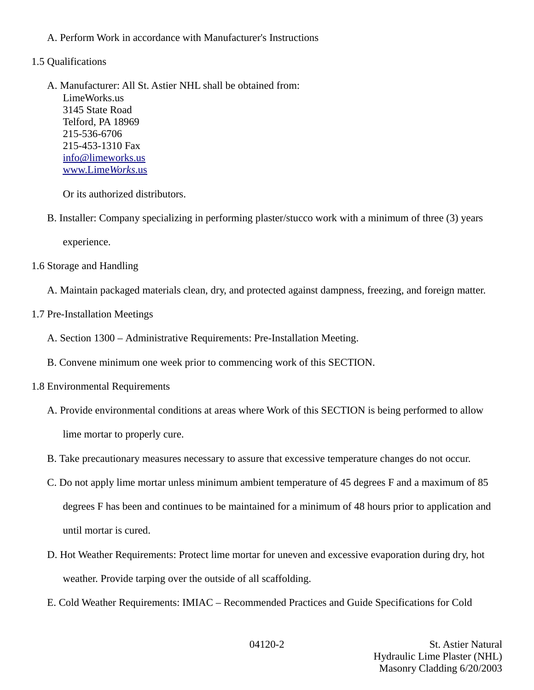- A. Perform Work in accordance with Manufacturer's Instructions
- 1.5 Qualifications
	- A. Manufacturer: All St. Astier NHL shall be obtained from: LimeWorks.us 3145 State Road Telford, PA 18969 215-536-6706 215-453-1310 Fax [info@limeworks.us](mailto:info@limeworks.us)  [www.Lime](http://www.LimeWorks.us/) *[Works](http://www.LimeWorks.us/)*[.us](http://www.LimeWorks.us/)

Or its authorized distributors.

B. Installer: Company specializing in performing plaster/stucco work with a minimum of three (3) years

experience.

- 1.6 Storage and Handling
	- A. Maintain packaged materials clean, dry, and protected against dampness, freezing, and foreign matter.
- 1.7 Pre-Installation Meetings
	- A. Section 1300 Administrative Requirements: Pre-Installation Meeting.
	- B. Convene minimum one week prior to commencing work of this SECTION.
- 1.8 Environmental Requirements
	- A. Provide environmental conditions at areas where Work of this SECTION is being performed to allow lime mortar to properly cure.
	- B. Take precautionary measures necessary to assure that excessive temperature changes do not occur.
	- C. Do not apply lime mortar unless minimum ambient temperature of 45 degrees F and a maximum of 85 degrees F has been and continues to be maintained for a minimum of 48 hours prior to application and until mortar is cured.
	- D. Hot Weather Requirements: Protect lime mortar for uneven and excessive evaporation during dry, hot weather. Provide tarping over the outside of all scaffolding.
	- E. Cold Weather Requirements: IMIAC Recommended Practices and Guide Specifications for Cold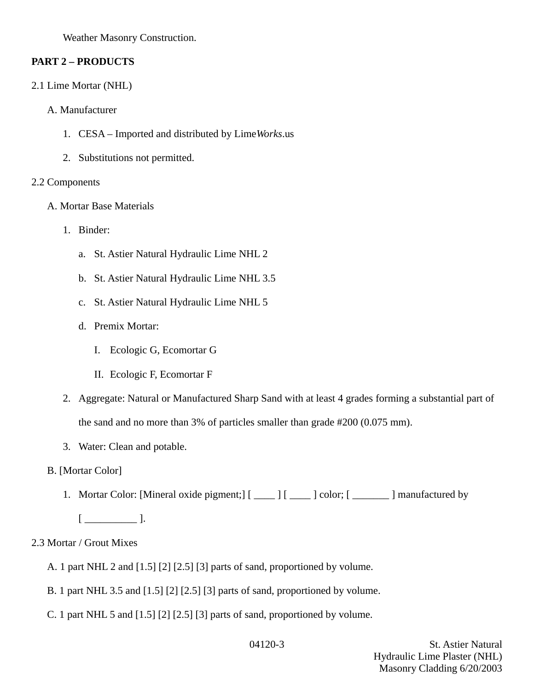Weather Masonry Construction.

# **PART 2 – PRODUCTS**

- 2.1 Lime Mortar (NHL)
	- A. Manufacturer
		- 1. CESA Imported and distributed by Lime*Works*.us
		- 2. Substitutions not permitted.

## 2.2 Components

- A. Mortar Base Materials
	- 1. Binder:
		- a. St. Astier Natural Hydraulic Lime NHL 2
		- b. St. Astier Natural Hydraulic Lime NHL 3.5
		- c. St. Astier Natural Hydraulic Lime NHL 5
		- d. Premix Mortar:
			- I. Ecologic G, Ecomortar G
			- II. Ecologic F, Ecomortar F
	- 2. Aggregate: Natural or Manufactured Sharp Sand with at least 4 grades forming a substantial part of the sand and no more than 3% of particles smaller than grade #200 (0.075 mm).
	- 3. Water: Clean and potable.
- B. [Mortar Color]
	- 1. Mortar Color: [Mineral oxide pigment;] [ \_\_\_\_ ] [ \_\_\_\_ ] color; [ \_\_\_\_\_\_ ] manufactured by
		- $[$   $\qquad$   $]$ .

# 2.3 Mortar / Grout Mixes

- A. 1 part NHL 2 and [1.5] [2] [2.5] [3] parts of sand, proportioned by volume.
- B. 1 part NHL 3.5 and [1.5] [2] [2.5] [3] parts of sand, proportioned by volume.
- C. 1 part NHL 5 and [1.5] [2] [2.5] [3] parts of sand, proportioned by volume.